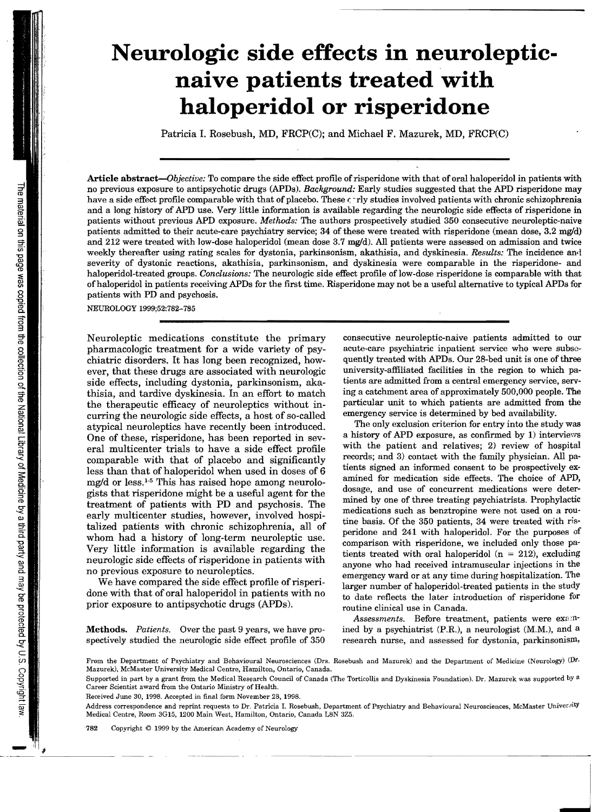## **Neurologic side effects in neuroleptic naive patients treated with haloperidol or risperidone**

Patricia I. Rosebush, MO, FRCP(C); and Michael F. Mazurek, MO, FRCP(C)

**Article** *abstract-Objectiue:* To compare the side effect profile ofrisperidone with that of oral haloperidol in patients with no previous exposure to antipsychotic drugs (APDs). *Background:* Early studies suggested that the APD risperidone may have a side effect profile comparable with that of placebo. These  $\epsilon$  rly studies involved patients with chronic schizophrenia and a long history of APD use. Very little information is available regarding the neurologic side effects of risperidone in patients without previous APD exposure. *Methods:* The authors prospectively studied 350 consecutive neuroleptic-naive patients admitted to their acute-care psychiatry service; 34 of these were treated with risperidone (mean dose, 3.2 mg/d) and 212 were treated with low-dose haloperidol (mean dose  $3.7 \text{ mg/d}$ ). All patients were assessed on admission and twice weekly thereafter using rating scales for dystonia, parkinsonism, akathisia, and dyskinesia. *Results:* The incidence anll severity of dystonic reactions, akathisia, parkinsonism, and dyskinesia were comparable in the risperidone- and haloperidol-treated groups. *Conclusions:* The neurologic side effect profile of low-dose risperidone is comparable with that ofhaloperidol in patients receiving APDs for the first time. Risperidone may not be a useful alternative to typical APDs for patients with PD and psychosis.

NEUROLOGY 1999;52:782-785

Neuroleptic medications constitute the primary pharmacologic treatment for a wide variety of psychiatric disorders. It has long been recognized, however, that these drugs are associated with neurologic side effects, including dystonia, parkinsonism, akathisia, and tardive dyskinesia. In an effort to match the therapeutic efficacy of neuroleptics without incurring the neurologic side effects, a host of so-called atypical neuroleptics have recently been introduced. One of these, risperidone, has been reported in several multicenter trials to have a side effect profile comparable with that of placebo and significantly less than that of haloperidol when used in doses of 6 mg/d or less.1- 5 This has raised hope among neurologists that risperidone might be a useful agent for the treatment of patients with PO and psychosis. The early multicenter studies, however, involved hospitalized patients with chronic schizophrenia, all of whom had a history of long-term neuroleptic use. Very little information is available regarding the neurologic side effects of risperidone in patients with no previous exposure to neuroleptics.

We have compared the side effect profile of risperidone with that of oral haloperidol in patients with no prior exposure to antipsychotic drugs (APOs).

Methods. *Patients.* Over the past 9 years, we have prospectively studied the neurologic side effect profile of 350 consecutive neuroleptic-naive patients admitted to our acute-care psychiatric inpatient service who were subsequently treated with APDs. Our 28-bed unit is one of three university-affiliated facilities in the region to which patients are admitted from a central emergency service, serving a catchment area of approximately 500,000 people. The particular unit to which patients are admitted from the emergency service is determined by bed availability.

The only exclusion criterion for entry into the study was a history of APD exposure, as confirmed by 1) interviews with the patient and relatives; 2) review of hospital records; and 3) contact with the family physician. All patients signed an informed consent to be prospectively examined for medication side effects. The choice of APD, dosage, and use of concurrent medications were determined by one of three treating psychiatrists. Prophylactic medications such as benztropine were not used on a routine basis. Of the 350 patients, 34 were treated with risperidone and 241 with haloperidol. For the purposes of comparison with risperidone, we included only those patients treated with oral haloperidol  $(n = 212)$ , excluding anyone who had received intramuscular injections in the emergency ward or at any time during hospitalization. The larger number of haloperidol-treated patients in the study to date reflects the later introduction of risperidone for routine clinical use in Canada.

*Assessments.* Before treatment, patients were exa:nined by a psychiatrist (P.R.), a neurologist (M.M.), and a research nurse, and assessed for dystonia, parkinsonism,

From the Department of Psychiatry and Behavioural Neurosciences (Drs. Rosebush and Mazurek) and the Department of Medicine (Neurology) (Dr. Mazurek), McMaster University Medical Centre, Hamilton, Ontario, Canada.

Received June 30, 1998. Accepted in final form November 28,1998.

Supported in part by a grant from the Medical Research Council of Canada (The Torticollis and Dyskinesia Foundation). Dr. Mazurek was supported by a Career Scientist award from the Ontario Ministry of Health.

Address correspondence and reprint requests to Dr. Patricia I. Rosebush, Department of Psychiatry and Behavioural Neurosciences, McMaster University Medical Centre, Room 3G15, 1200 Main West, Hamilton, Ontario, Canada L8N 3Z5.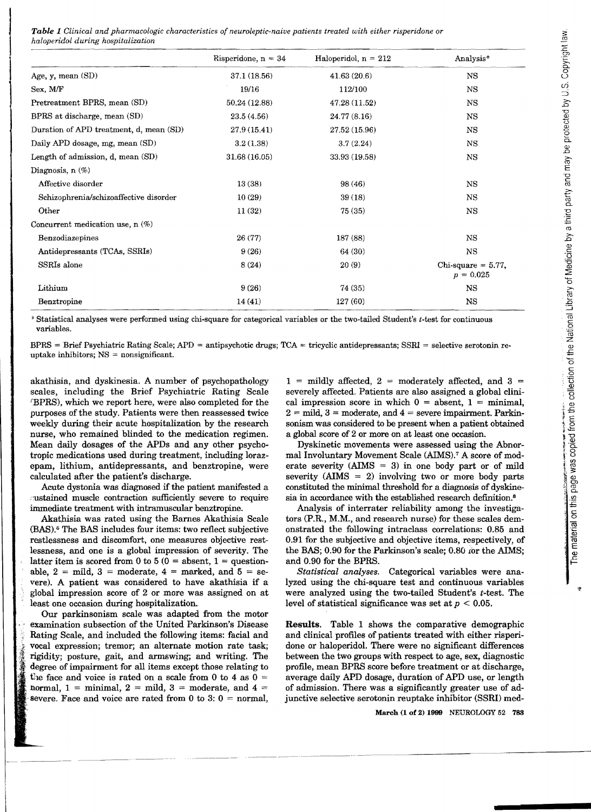*Table* 1 *Clinical and pharmacologic characteristics of neuroleptic-naive patients treated with either risperidone or haloperidol during hospitalization* 

|                                         | Risperidone, $n = 34$ | Haloperidol, $n = 212$ | Analysis*                            |
|-----------------------------------------|-----------------------|------------------------|--------------------------------------|
| Age, y, mean (SD)                       | 37.1 (18.56)          | 41.63(20.6)            | <b>NS</b>                            |
| Sex, M/F                                | 19/16                 | 112/100                | <b>NS</b>                            |
| Pretreatment BPRS, mean (SD)            | 50.24 (12.88)         | 47.28 (11.52)          | <b>NS</b>                            |
| BPRS at discharge, mean (SD)            | 23.5(4.56)            | 24.77 (8.16)           | NS                                   |
| Duration of APD treatment, d, mean (SD) | 27.9(15.41)           | 27.52 (15.96)          | NS                                   |
| Daily APD dosage, mg, mean (SD)         | 3.2(1.38)             | 3.7(2.24)              | NS                                   |
| Length of admission, d, mean (SD)       | 31.68 (16.05)         | 33.93 (19.58)          | <b>NS</b>                            |
| Diagnosis, $n$ $(\%)$                   |                       |                        |                                      |
| Affective disorder                      | 13(38)                | 98 (46)                | <b>NS</b>                            |
| Schizophrenia/schizoaffective disorder  | 10(29)                | 39(18)                 | <b>NS</b>                            |
| Other                                   | 11(32)                | 75(35)                 | <b>NS</b>                            |
| Concurrent medication use, $n$ (%)      |                       |                        |                                      |
| Benzodiazepines                         | 26 (77)               | 187 (88)               | <b>NS</b>                            |
| Antidepressants (TCAs, SSRIs)           | 9(26)                 | 64 (30)                | NS                                   |
| SSRIs alone                             | 8(24)                 | 20(9)                  | $Chi-square = 5.77$ ,<br>$p = 0.025$ |
| Lithium                                 | 9(26)                 | 74 (35)                | <b>NS</b>                            |
| Benztropine                             | 14(41)                | 127 (60)               | NS                                   |

, Statistical analyses were performed using chi-square for categorical variables or the two-tailed Student's *t-test* for continuous variables.

 $BPRS =$  Brief Psychiatric Rating Scale;  $APD =$  antipsychotic drugs;  $TCA =$  tricyclic antidepressants;  $SSRI =$  selective serotonin reuptake inhibitors; NS = nonsignificant.

akathisia, and dyskinesia. A number of psychopathology scales, including the Brief Psychiatric Rating Scale fBPRS), which we report here, were also completed for the purposes of the study. Patients were then reassessed twice weekly during their acute hospitalization by the research nurse, who remained blinded to the medication regimen. Mean daily dosages of the APDs and any other psychotropic medications used during treatment, including lorazepam, lithium, antidepressants, and benztropine, were calculated after the patient's discharge.

Acute dystonia was diagnosed if the patient manifested a :~ustained muscle contraction sufficiently severe to require immediate treatment with intramuscular benztropine.

Akathisia was rated using the Barnes Akathisia Scale (BAS).6 The BAS includes four items: two reflect subjective restlessness and discomfort, one measures objective restlessness, and one is a global impression of severity. The latter item is scored from 0 to 5 ( $0 =$  absent, 1 = questionable,  $2 = mid$ ,  $3 = moderate$ ,  $4 = marked$ , and  $5 = se$ vere). A patient was considered to have akathisia if a global impression score of 2 or more was assigned on at least one occasion during hospitalization.

Our parkinsonism scale was adapted from the motor examination subsection of the United Parkinson's Disease Rating Scale, and included the following items: facial and vocal expression; tremor; an alternate motion rate task; rigidity; posture, gait, and armswing; and writing. The degree of impairment for all items except those relating to the face and voice is rated on a scale from 0 to 4 as  $0 =$ normal,  $1 =$  minimal,  $2 =$  mild,  $3 =$  moderate, and  $4 =$ severe. Face and voice are rated from 0 to 3:  $0 =$  normal,

 $1 =$  mildly affected,  $2 =$  moderately affected, and  $3 =$ severely affected. Patients are also assigned a global clinical impression score in which  $0 =$  absent,  $1 =$  minimal,  $2 =$  mild,  $3 =$  moderate, and  $4 =$  severe impairment. Parkinsonism was considered to be present when a patient obtained a global score of 2 or more on at least one occasion.

Dyskinetic movements were assessed using the Abnormal Involuntary Movement Scale (AIMS).7 A score of moderate severity  $(AIMS = 3)$  in one body part or of mild severity  $(AIMS = 2)$  involving two or more body parts constituted the minimal threshold for a diagnosis of dyskinesia in accordance with the established research definition.<sup>8</sup>

Analysis of interrater reliability among the investigators  $(P.R., M.M.,$  and research nurse) for these scales demonstrated the following intraclass correlations: 0.85 and 0.91 for the subjective and objective items, respectively, of the BAS;  $0.90$  for the Parkinson's scale;  $0.80$  for the AIMS; and 0.90 for the BPRS.

*Statistical analyses.* Categorical variables were analyzed using the chi-square test and continuous variables were analyzed using the two-tailed Student's *t-test.* The level of statistical significance was set at  $p < 0.05$ .

Results. Table 1 shows the comparative demographic and clinical profiles of patients treated with either risperidone or haloperidol. There were no significant differences between the two groups with respect to age, sex, diagnostic profile, mean BPRS score before treatment or at discharge, average daily APD dosage, duration of APD use, or length of admission. There was a significantly greater use of adjunctive selective serotonin reuptake inhibitor (SSRI) med-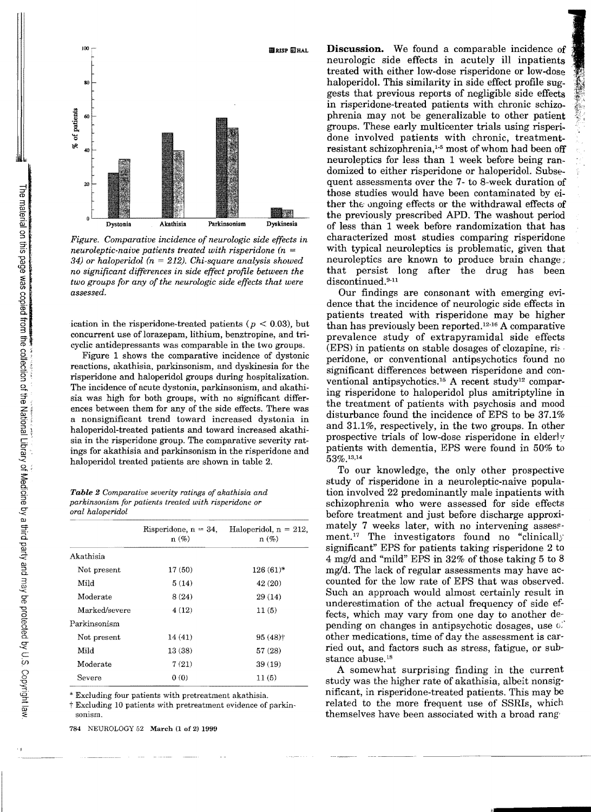

g, *Figure. Comparative incidence of neurologic side effects in neuroleptic-naive patients treated with risperidone (n 34) or haloperidol (n* 212). *Chi-square analysis showed no significant differences in side effect profile between the two groups for any of the neurologic side effects that were assessed.* 

ication in the risperidone-treated patients ( $p < 0.03$ ), but concurrent use of lorazepam, lithium, benztropine, and tricyclic antidepressants was comparable in the two groups.

Figure 1 shows the comparative incidence of dystonic reactions, akathisia, parkinsonism, and dyskinesia for the risperidone and haloperidol groups during hospitalization. The incidence of acute dystonia, parkinsonism, and akathisia was high for both groups, with no significant differences between them for any of the side effects. There was a nonsignificant trend toward increased dystonia in haloperidol-treated patients and toward increased akathisia in the risperidone group. The comparative severity ratings for akathisia and parkinsonism in the risperidone and haloperidol treated patients are shown in table 2.

*Table* 2 *Comparative severity ratings of akathisia and parkinsonism for patients treated with risperidone or oral haloperidol* 

|               | Risperidone, $n = 34$ ,<br>$n(\%)$ | Haloperidol, $n = 212$ ,<br>$n(\%)$ |
|---------------|------------------------------------|-------------------------------------|
| Akathisia     |                                    |                                     |
| Not present   | 17 (50)                            | $126(61)$ *                         |
| Mild          | 5(14)                              | 42 (20)                             |
| Moderate      | 8 (24)                             | 29(14)                              |
| Marked/severe | 4(12)                              | 11(5)                               |
| Parkinsonism  |                                    |                                     |
| Not present   | 14(41)                             | $95(48)$ <sup>+</sup>               |
| Mild          | 13(38)                             | 57 (28)                             |
| Moderate      | 7(21)                              | 39(19)                              |
| Severe        | 0(0)                               | 11(5)                               |

\* Excluding four patients with pretreatment akathisia.

t Excluding 10 patients with pretreatment evidence of parkinsonism.

784 NEUROLOGY 52 March (l of 2) 1999

**Discussion.** We found a comparable incidence of neurologic side effects in acutely ill inpatients treated with either low-dose risperidone or low-dose haloperidol. This similarity in side effect profile suggests that previous reports of negligible side effects in risperidone-treated patients with chronic schizophrenia may not be generalizable to other patient groups. These early multicenter trials using risperidone involved patients with chronic, treatmentresistant schizophrenia,<sup>1-5</sup> most of whom had been off neuroleptics for less than 1 week before being randomized to either risperidone or haloperidol. Subsequent assessments over the 7- to 8-week duration of those studies would have been contaminated by either the ongoing effects or the withdrawal effects of the previously prescribed APD. The washout period of less than 1 week before randomization that has characterized most studies comparing risperidone with typical neuroleptics is problematic, given that neuroleptics are known to produce brain change; that persist long after the drug has been discontinued.<sup>9-11</sup>

Our findings are consonant with emerging evidence that the incidence of neurologic side effects in patients treated with risperidone may be higher than has previously been reported.12. 16 A comparative prevalence study of extrapyramidal side effects (EPS) in patients on stable dosages of clozapine, rised peridone, or conventional antipsychotics found no significant differences between risperidone and conventional antipsychotics.15 A recent study12 comparing risperidone to haloperidol plus amitriptyline in the treatment of patients with psychosis and mood disturbance found the incidence of EPS to be 37.1% and 31.1%, respectively, in the two groups. In other prospective trials of low-dose risperidone in elderly patients with dementia, EPS were found in 50% to 53%.13,14

To our knowledge, the only other prospective study of risperidone in a neuroleptic-naive population involved 22 predominantly male inpatients with schizophrenia who were assessed for side effects before treatment and just before discharge approximately 7 weeks later, with no intervening assessment.<sup>17</sup> The investigators found no "clinically" significant" EPS for patients taking risperidone 2 to 4 mg/d and "mild" EPS in 32% of those taking 5 to 8 mg/d. The lack of regular assessments may have accounted for the low rate of EPS that was observed. Such an approach would almost certainly result in underestimation of the actual frequency of side effects, which may vary from one day to another depending on changes in antipsychotic dosages, use  $\mathbb{C}^2$ other medications, time of day the assessment is carried out, and factors such as stress, fatigue, or substance abuse.<sup>18</sup>

A somewhat surprising finding in the current study was the higher rate of akathisia, albeit nonsignificant, in risperidone-treated patients. This may be related to the more frequent use of SSRIs, which themselves have been associated with a broad rang'